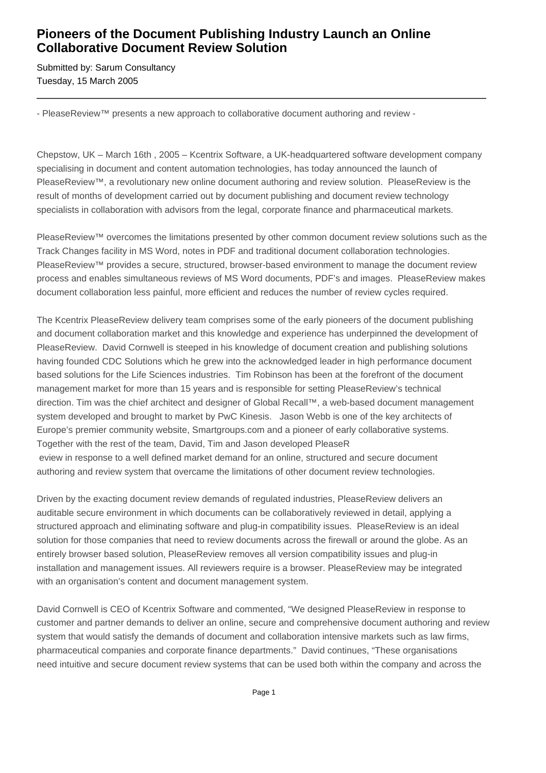## **Pioneers of the Document Publishing Industry Launch an Online Collaborative Document Review Solution**

Submitted by: Sarum Consultancy Tuesday, 15 March 2005

- PleaseReview™ presents a new approach to collaborative document authoring and review -

Chepstow, UK – March 16th , 2005 – Kcentrix Software, a UK-headquartered software development company specialising in document and content automation technologies, has today announced the launch of PleaseReview™, a revolutionary new online document authoring and review solution. PleaseReview is the result of months of development carried out by document publishing and document review technology specialists in collaboration with advisors from the legal, corporate finance and pharmaceutical markets.

PleaseReview™ overcomes the limitations presented by other common document review solutions such as the Track Changes facility in MS Word, notes in PDF and traditional document collaboration technologies. PleaseReview™ provides a secure, structured, browser-based environment to manage the document review process and enables simultaneous reviews of MS Word documents, PDF's and images. PleaseReview makes document collaboration less painful, more efficient and reduces the number of review cycles required.

The Kcentrix PleaseReview delivery team comprises some of the early pioneers of the document publishing and document collaboration market and this knowledge and experience has underpinned the development of PleaseReview. David Cornwell is steeped in his knowledge of document creation and publishing solutions having founded CDC Solutions which he grew into the acknowledged leader in high performance document based solutions for the Life Sciences industries. Tim Robinson has been at the forefront of the document management market for more than 15 years and is responsible for setting PleaseReview's technical direction. Tim was the chief architect and designer of Global Recall™, a web-based document management system developed and brought to market by PwC Kinesis. Jason Webb is one of the key architects of Europe's premier community website, Smartgroups.com and a pioneer of early collaborative systems. Together with the rest of the team, David, Tim and Jason developed PleaseR eview in response to a well defined market demand for an online, structured and secure document authoring and review system that overcame the limitations of other document review technologies.

Driven by the exacting document review demands of regulated industries, PleaseReview delivers an auditable secure environment in which documents can be collaboratively reviewed in detail, applying a structured approach and eliminating software and plug-in compatibility issues. PleaseReview is an ideal solution for those companies that need to review documents across the firewall or around the globe. As an entirely browser based solution, PleaseReview removes all version compatibility issues and plug-in installation and management issues. All reviewers require is a browser. PleaseReview may be integrated with an organisation's content and document management system.

David Cornwell is CEO of Kcentrix Software and commented, "We designed PleaseReview in response to customer and partner demands to deliver an online, secure and comprehensive document authoring and review system that would satisfy the demands of document and collaboration intensive markets such as law firms, pharmaceutical companies and corporate finance departments." David continues, "These organisations need intuitive and secure document review systems that can be used both within the company and across the